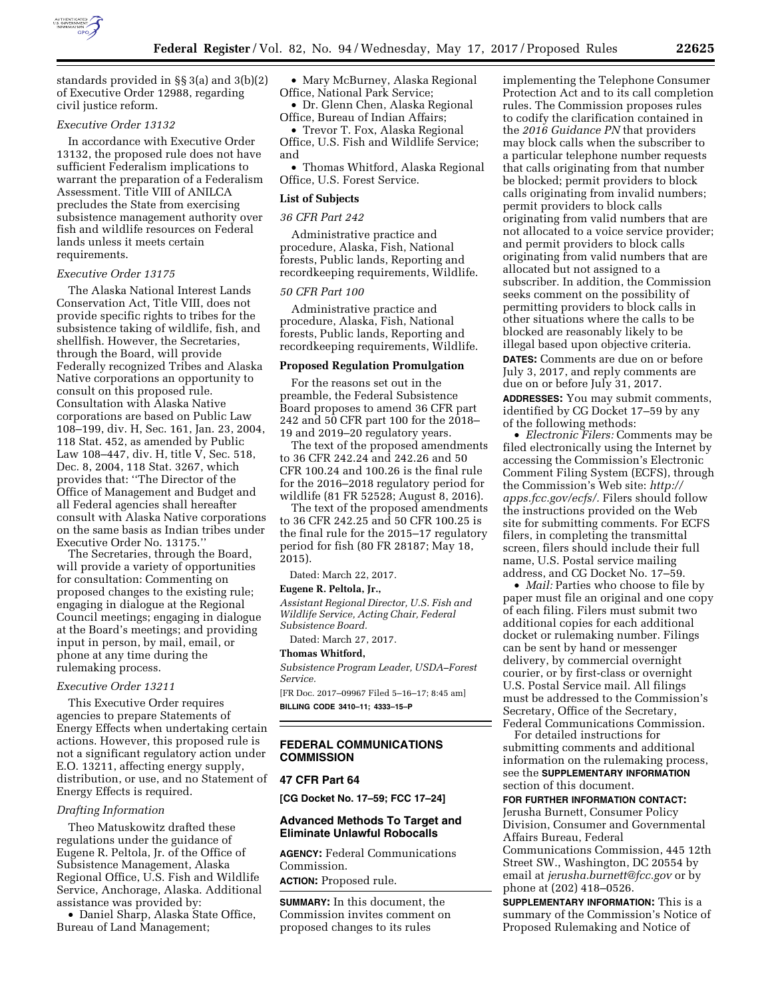

standards provided in §§ 3(a) and 3(b)(2) of Executive Order 12988, regarding civil justice reform.

#### *Executive Order 13132*

In accordance with Executive Order 13132, the proposed rule does not have sufficient Federalism implications to warrant the preparation of a Federalism Assessment. Title VIII of ANILCA precludes the State from exercising subsistence management authority over fish and wildlife resources on Federal lands unless it meets certain requirements.

#### *Executive Order 13175*

The Alaska National Interest Lands Conservation Act, Title VIII, does not provide specific rights to tribes for the subsistence taking of wildlife, fish, and shellfish. However, the Secretaries, through the Board, will provide Federally recognized Tribes and Alaska Native corporations an opportunity to consult on this proposed rule. Consultation with Alaska Native corporations are based on Public Law 108–199, div. H, Sec. 161, Jan. 23, 2004, 118 Stat. 452, as amended by Public Law 108–447, div. H, title V, Sec. 518, Dec. 8, 2004, 118 Stat. 3267, which provides that: ''The Director of the Office of Management and Budget and all Federal agencies shall hereafter consult with Alaska Native corporations on the same basis as Indian tribes under Executive Order No. 13175.''

The Secretaries, through the Board, will provide a variety of opportunities for consultation: Commenting on proposed changes to the existing rule; engaging in dialogue at the Regional Council meetings; engaging in dialogue at the Board's meetings; and providing input in person, by mail, email, or phone at any time during the rulemaking process.

#### *Executive Order 13211*

This Executive Order requires agencies to prepare Statements of Energy Effects when undertaking certain actions. However, this proposed rule is not a significant regulatory action under E.O. 13211, affecting energy supply, distribution, or use, and no Statement of Energy Effects is required.

#### *Drafting Information*

Theo Matuskowitz drafted these regulations under the guidance of Eugene R. Peltola, Jr. of the Office of Subsistence Management, Alaska Regional Office, U.S. Fish and Wildlife Service, Anchorage, Alaska. Additional assistance was provided by:

• Daniel Sharp, Alaska State Office, Bureau of Land Management;

• Mary McBurney, Alaska Regional Office, National Park Service;

• Dr. Glenn Chen, Alaska Regional Office, Bureau of Indian Affairs;

• Trevor T. Fox, Alaska Regional Office, U.S. Fish and Wildlife Service; and

• Thomas Whitford, Alaska Regional Office, U.S. Forest Service.

#### **List of Subjects**

#### *36 CFR Part 242*

Administrative practice and procedure, Alaska, Fish, National forests, Public lands, Reporting and recordkeeping requirements, Wildlife.

#### *50 CFR Part 100*

Administrative practice and procedure, Alaska, Fish, National forests, Public lands, Reporting and recordkeeping requirements, Wildlife.

### **Proposed Regulation Promulgation**

For the reasons set out in the preamble, the Federal Subsistence Board proposes to amend 36 CFR part 242 and 50 CFR part 100 for the 2018– 19 and 2019–20 regulatory years.

The text of the proposed amendments to 36 CFR 242.24 and 242.26 and 50 CFR 100.24 and 100.26 is the final rule for the 2016–2018 regulatory period for wildlife (81 FR 52528; August 8, 2016).

The text of the proposed amendments to 36 CFR 242.25 and 50 CFR 100.25 is the final rule for the 2015–17 regulatory period for fish (80 FR 28187; May 18, 2015).

Dated: March 22, 2017.

#### **Eugene R. Peltola, Jr.,**

*Assistant Regional Director, U.S. Fish and Wildlife Service, Acting Chair, Federal Subsistence Board.* 

Dated: March 27, 2017.

### **Thomas Whitford,**

*Subsistence Program Leader, USDA–Forest Service.* 

[FR Doc. 2017–09967 Filed 5–16–17; 8:45 am] **BILLING CODE 3410–11; 4333–15–P** 

### **FEDERAL COMMUNICATIONS COMMISSION**

#### **47 CFR Part 64**

**[CG Docket No. 17–59; FCC 17–24]** 

#### **Advanced Methods To Target and Eliminate Unlawful Robocalls**

**AGENCY:** Federal Communications Commission.

**ACTION:** Proposed rule.

**SUMMARY:** In this document, the Commission invites comment on proposed changes to its rules

implementing the Telephone Consumer Protection Act and to its call completion rules. The Commission proposes rules to codify the clarification contained in the *2016 Guidance PN* that providers may block calls when the subscriber to a particular telephone number requests that calls originating from that number be blocked; permit providers to block calls originating from invalid numbers; permit providers to block calls originating from valid numbers that are not allocated to a voice service provider; and permit providers to block calls originating from valid numbers that are allocated but not assigned to a subscriber. In addition, the Commission seeks comment on the possibility of permitting providers to block calls in other situations where the calls to be blocked are reasonably likely to be illegal based upon objective criteria.

**DATES:** Comments are due on or before July 3, 2017, and reply comments are due on or before July 31, 2017.

**ADDRESSES:** You may submit comments, identified by CG Docket 17–59 by any of the following methods:

• *Electronic Filers:* Comments may be filed electronically using the Internet by accessing the Commission's Electronic Comment Filing System (ECFS), through the Commission's Web site: *[http://](http://apps.fcc.gov/ecfs/) [apps.fcc.gov/ecfs/.](http://apps.fcc.gov/ecfs/)* Filers should follow the instructions provided on the Web site for submitting comments. For ECFS filers, in completing the transmittal screen, filers should include their full name, U.S. Postal service mailing address, and CG Docket No. 17–59.

• *Mail:* Parties who choose to file by paper must file an original and one copy of each filing. Filers must submit two additional copies for each additional docket or rulemaking number. Filings can be sent by hand or messenger delivery, by commercial overnight courier, or by first-class or overnight U.S. Postal Service mail. All filings must be addressed to the Commission's Secretary, Office of the Secretary, Federal Communications Commission.

For detailed instructions for submitting comments and additional information on the rulemaking process, see the **SUPPLEMENTARY INFORMATION** section of this document.

### **FOR FURTHER INFORMATION CONTACT:**

Jerusha Burnett, Consumer Policy Division, Consumer and Governmental Affairs Bureau, Federal Communications Commission, 445 12th Street SW., Washington, DC 20554 by email at *[jerusha.burnett@fcc.gov](mailto:jerusha.burnett@fcc.gov)* or by phone at (202) 418–0526.

**SUPPLEMENTARY INFORMATION:** This is a summary of the Commission's Notice of Proposed Rulemaking and Notice of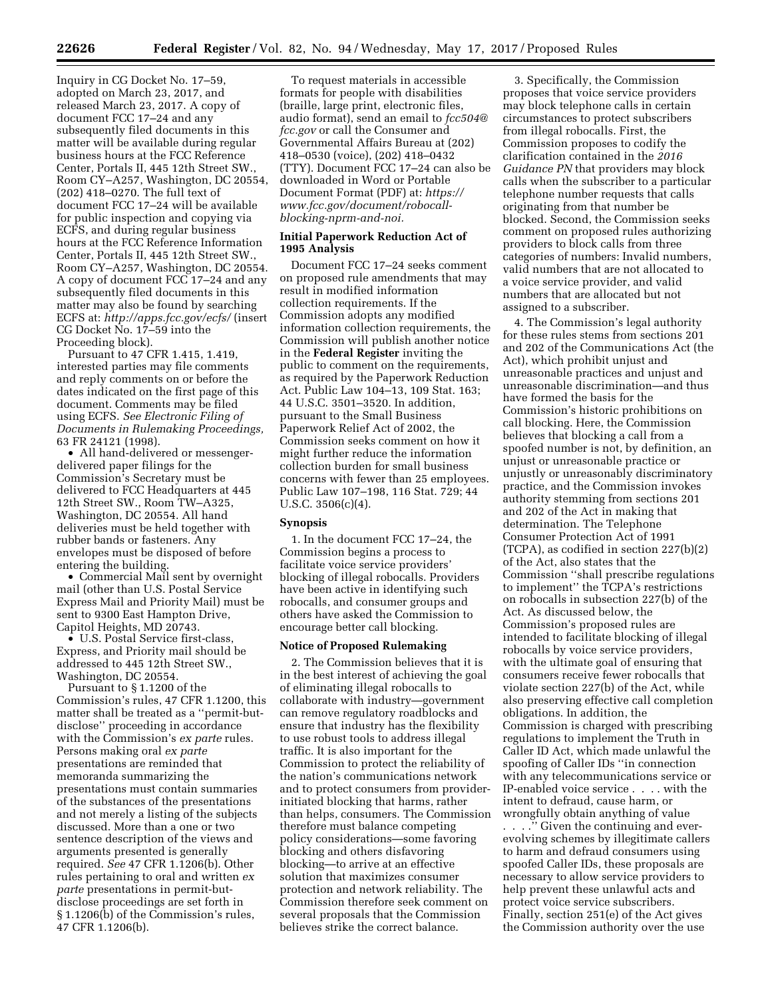Inquiry in CG Docket No. 17–59, adopted on March 23, 2017, and released March 23, 2017. A copy of document FCC 17–24 and any subsequently filed documents in this matter will be available during regular business hours at the FCC Reference Center, Portals II, 445 12th Street SW., Room CY–A257, Washington, DC 20554, (202) 418–0270. The full text of document FCC 17–24 will be available for public inspection and copying via ECFS, and during regular business hours at the FCC Reference Information Center, Portals II, 445 12th Street SW., Room CY–A257, Washington, DC 20554. A copy of document FCC 17–24 and any subsequently filed documents in this matter may also be found by searching ECFS at: *<http://apps.fcc.gov/ecfs/>* (insert CG Docket No. 17–59 into the Proceeding block).

Pursuant to 47 CFR 1.415, 1.419, interested parties may file comments and reply comments on or before the dates indicated on the first page of this document. Comments may be filed using ECFS. *See Electronic Filing of Documents in Rulemaking Proceedings,*  63 FR 24121 (1998).

• All hand-delivered or messengerdelivered paper filings for the Commission's Secretary must be delivered to FCC Headquarters at 445 12th Street SW., Room TW–A325, Washington, DC 20554. All hand deliveries must be held together with rubber bands or fasteners. Any envelopes must be disposed of before entering the building.

• Commercial Mail sent by overnight mail (other than U.S. Postal Service Express Mail and Priority Mail) must be sent to 9300 East Hampton Drive, Capitol Heights, MD 20743.

• U.S. Postal Service first-class, Express, and Priority mail should be addressed to 445 12th Street SW., Washington, DC 20554.

Pursuant to § 1.1200 of the Commission's rules, 47 CFR 1.1200, this matter shall be treated as a ''permit-butdisclose'' proceeding in accordance with the Commission's *ex parte* rules. Persons making oral *ex parte*  presentations are reminded that memoranda summarizing the presentations must contain summaries of the substances of the presentations and not merely a listing of the subjects discussed. More than a one or two sentence description of the views and arguments presented is generally required. *See* 47 CFR 1.1206(b). Other rules pertaining to oral and written *ex parte* presentations in permit-butdisclose proceedings are set forth in § 1.1206(b) of the Commission's rules, 47 CFR 1.1206(b).

To request materials in accessible formats for people with disabilities (braille, large print, electronic files, audio format), send an email to *[fcc504@](mailto:fcc504@fcc.gov) [fcc.gov](mailto:fcc504@fcc.gov)* or call the Consumer and Governmental Affairs Bureau at (202) 418–0530 (voice), (202) 418–0432 (TTY). Document FCC 17–24 can also be downloaded in Word or Portable Document Format (PDF) at: *[https://](https://www.fcc.gov/document/robocall-blocking-nprm-and-noi) [www.fcc.gov/document/robocall](https://www.fcc.gov/document/robocall-blocking-nprm-and-noi)[blocking-nprm-and-noi.](https://www.fcc.gov/document/robocall-blocking-nprm-and-noi)* 

#### **Initial Paperwork Reduction Act of 1995 Analysis**

Document FCC 17–24 seeks comment on proposed rule amendments that may result in modified information collection requirements. If the Commission adopts any modified information collection requirements, the Commission will publish another notice in the **Federal Register** inviting the public to comment on the requirements, as required by the Paperwork Reduction Act. Public Law 104–13, 109 Stat. 163; 44 U.S.C. 3501–3520. In addition, pursuant to the Small Business Paperwork Relief Act of 2002, the Commission seeks comment on how it might further reduce the information collection burden for small business concerns with fewer than 25 employees. Public Law 107–198, 116 Stat. 729; 44 U.S.C. 3506(c)(4).

#### **Synopsis**

1. In the document FCC 17–24, the Commission begins a process to facilitate voice service providers' blocking of illegal robocalls. Providers have been active in identifying such robocalls, and consumer groups and others have asked the Commission to encourage better call blocking.

#### **Notice of Proposed Rulemaking**

2. The Commission believes that it is in the best interest of achieving the goal of eliminating illegal robocalls to collaborate with industry—government can remove regulatory roadblocks and ensure that industry has the flexibility to use robust tools to address illegal traffic. It is also important for the Commission to protect the reliability of the nation's communications network and to protect consumers from providerinitiated blocking that harms, rather than helps, consumers. The Commission therefore must balance competing policy considerations—some favoring blocking and others disfavoring blocking—to arrive at an effective solution that maximizes consumer protection and network reliability. The Commission therefore seek comment on several proposals that the Commission believes strike the correct balance.

3. Specifically, the Commission proposes that voice service providers may block telephone calls in certain circumstances to protect subscribers from illegal robocalls. First, the Commission proposes to codify the clarification contained in the *2016 Guidance PN* that providers may block calls when the subscriber to a particular telephone number requests that calls originating from that number be blocked. Second, the Commission seeks comment on proposed rules authorizing providers to block calls from three categories of numbers: Invalid numbers, valid numbers that are not allocated to a voice service provider, and valid numbers that are allocated but not assigned to a subscriber.

4. The Commission's legal authority for these rules stems from sections 201 and 202 of the Communications Act (the Act), which prohibit unjust and unreasonable practices and unjust and unreasonable discrimination—and thus have formed the basis for the Commission's historic prohibitions on call blocking. Here, the Commission believes that blocking a call from a spoofed number is not, by definition, an unjust or unreasonable practice or unjustly or unreasonably discriminatory practice, and the Commission invokes authority stemming from sections 201 and 202 of the Act in making that determination. The Telephone Consumer Protection Act of 1991 (TCPA), as codified in section 227(b)(2) of the Act, also states that the Commission ''shall prescribe regulations to implement'' the TCPA's restrictions on robocalls in subsection 227(b) of the Act. As discussed below, the Commission's proposed rules are intended to facilitate blocking of illegal robocalls by voice service providers, with the ultimate goal of ensuring that consumers receive fewer robocalls that violate section 227(b) of the Act, while also preserving effective call completion obligations. In addition, the Commission is charged with prescribing regulations to implement the Truth in Caller ID Act, which made unlawful the spoofing of Caller IDs ''in connection with any telecommunications service or IP-enabled voice service . . . . with the intent to defraud, cause harm, or wrongfully obtain anything of value . . . .'' Given the continuing and ever-

evolving schemes by illegitimate callers to harm and defraud consumers using spoofed Caller IDs, these proposals are necessary to allow service providers to help prevent these unlawful acts and protect voice service subscribers. Finally, section 251(e) of the Act gives the Commission authority over the use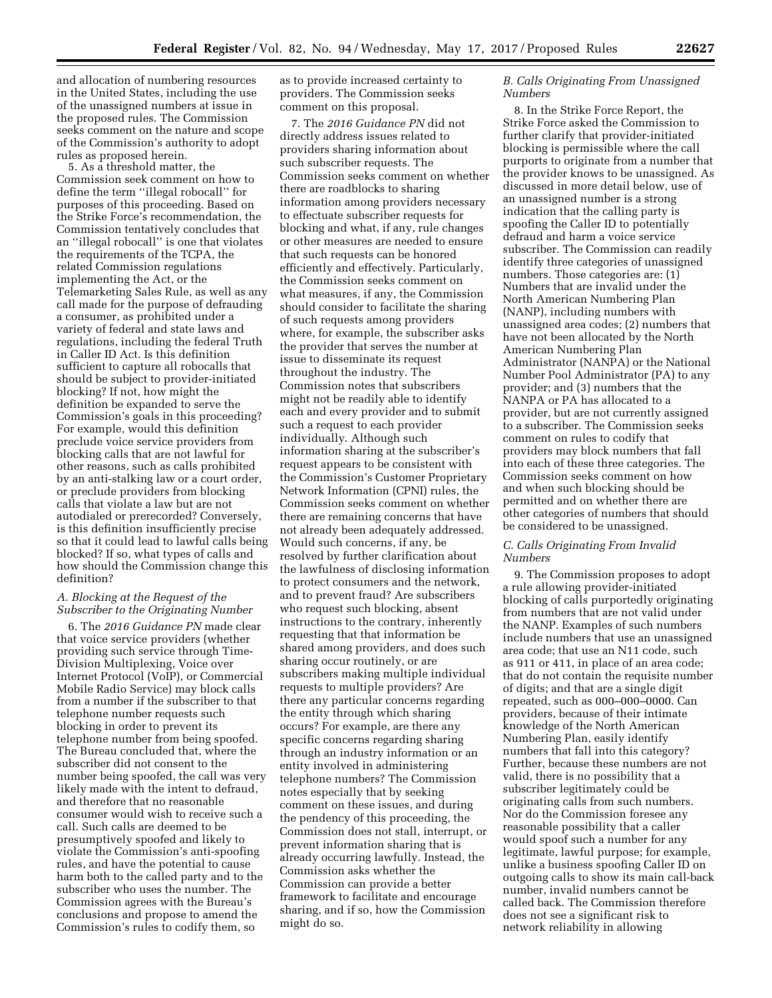and allocation of numbering resources in the United States, including the use of the unassigned numbers at issue in the proposed rules. The Commission seeks comment on the nature and scope of the Commission's authority to adopt rules as proposed herein.

5. As a threshold matter, the Commission seek comment on how to define the term ''illegal robocall'' for purposes of this proceeding. Based on the Strike Force's recommendation, the Commission tentatively concludes that an ''illegal robocall'' is one that violates the requirements of the TCPA, the related Commission regulations implementing the Act, or the Telemarketing Sales Rule, as well as any call made for the purpose of defrauding a consumer, as prohibited under a variety of federal and state laws and regulations, including the federal Truth in Caller ID Act. Is this definition sufficient to capture all robocalls that should be subject to provider-initiated blocking? If not, how might the definition be expanded to serve the Commission's goals in this proceeding? For example, would this definition preclude voice service providers from blocking calls that are not lawful for other reasons, such as calls prohibited by an anti-stalking law or a court order, or preclude providers from blocking calls that violate a law but are not autodialed or prerecorded? Conversely, is this definition insufficiently precise so that it could lead to lawful calls being blocked? If so, what types of calls and how should the Commission change this definition?

#### *A. Blocking at the Request of the Subscriber to the Originating Number*

6. The *2016 Guidance PN* made clear that voice service providers (whether providing such service through Time-Division Multiplexing, Voice over Internet Protocol (VoIP), or Commercial Mobile Radio Service) may block calls from a number if the subscriber to that telephone number requests such blocking in order to prevent its telephone number from being spoofed. The Bureau concluded that, where the subscriber did not consent to the number being spoofed, the call was very likely made with the intent to defraud, and therefore that no reasonable consumer would wish to receive such a call. Such calls are deemed to be presumptively spoofed and likely to violate the Commission's anti-spoofing rules, and have the potential to cause harm both to the called party and to the subscriber who uses the number. The Commission agrees with the Bureau's conclusions and propose to amend the Commission's rules to codify them, so

as to provide increased certainty to providers. The Commission seeks comment on this proposal.

7. The *2016 Guidance PN* did not directly address issues related to providers sharing information about such subscriber requests. The Commission seeks comment on whether there are roadblocks to sharing information among providers necessary to effectuate subscriber requests for blocking and what, if any, rule changes or other measures are needed to ensure that such requests can be honored efficiently and effectively. Particularly, the Commission seeks comment on what measures, if any, the Commission should consider to facilitate the sharing of such requests among providers where, for example, the subscriber asks the provider that serves the number at issue to disseminate its request throughout the industry. The Commission notes that subscribers might not be readily able to identify each and every provider and to submit such a request to each provider individually. Although such information sharing at the subscriber's request appears to be consistent with the Commission's Customer Proprietary Network Information (CPNI) rules, the Commission seeks comment on whether there are remaining concerns that have not already been adequately addressed. Would such concerns, if any, be resolved by further clarification about the lawfulness of disclosing information to protect consumers and the network, and to prevent fraud? Are subscribers who request such blocking, absent instructions to the contrary, inherently requesting that that information be shared among providers, and does such sharing occur routinely, or are subscribers making multiple individual requests to multiple providers? Are there any particular concerns regarding the entity through which sharing occurs? For example, are there any specific concerns regarding sharing through an industry information or an entity involved in administering telephone numbers? The Commission notes especially that by seeking comment on these issues, and during the pendency of this proceeding, the Commission does not stall, interrupt, or prevent information sharing that is already occurring lawfully. Instead, the Commission asks whether the Commission can provide a better framework to facilitate and encourage sharing, and if so, how the Commission might do so.

#### *B. Calls Originating From Unassigned Numbers*

8. In the Strike Force Report, the Strike Force asked the Commission to further clarify that provider-initiated blocking is permissible where the call purports to originate from a number that the provider knows to be unassigned. As discussed in more detail below, use of an unassigned number is a strong indication that the calling party is spoofing the Caller ID to potentially defraud and harm a voice service subscriber. The Commission can readily identify three categories of unassigned numbers. Those categories are: (1) Numbers that are invalid under the North American Numbering Plan (NANP), including numbers with unassigned area codes; (2) numbers that have not been allocated by the North American Numbering Plan Administrator (NANPA) or the National Number Pool Administrator (PA) to any provider; and (3) numbers that the NANPA or PA has allocated to a provider, but are not currently assigned to a subscriber. The Commission seeks comment on rules to codify that providers may block numbers that fall into each of these three categories. The Commission seeks comment on how and when such blocking should be permitted and on whether there are other categories of numbers that should be considered to be unassigned.

#### *C. Calls Originating From Invalid Numbers*

9. The Commission proposes to adopt a rule allowing provider-initiated blocking of calls purportedly originating from numbers that are not valid under the NANP. Examples of such numbers include numbers that use an unassigned area code; that use an N11 code, such as 911 or 411, in place of an area code; that do not contain the requisite number of digits; and that are a single digit repeated, such as 000–000–0000. Can providers, because of their intimate knowledge of the North American Numbering Plan, easily identify numbers that fall into this category? Further, because these numbers are not valid, there is no possibility that a subscriber legitimately could be originating calls from such numbers. Nor do the Commission foresee any reasonable possibility that a caller would spoof such a number for any legitimate, lawful purpose; for example, unlike a business spoofing Caller ID on outgoing calls to show its main call-back number, invalid numbers cannot be called back. The Commission therefore does not see a significant risk to network reliability in allowing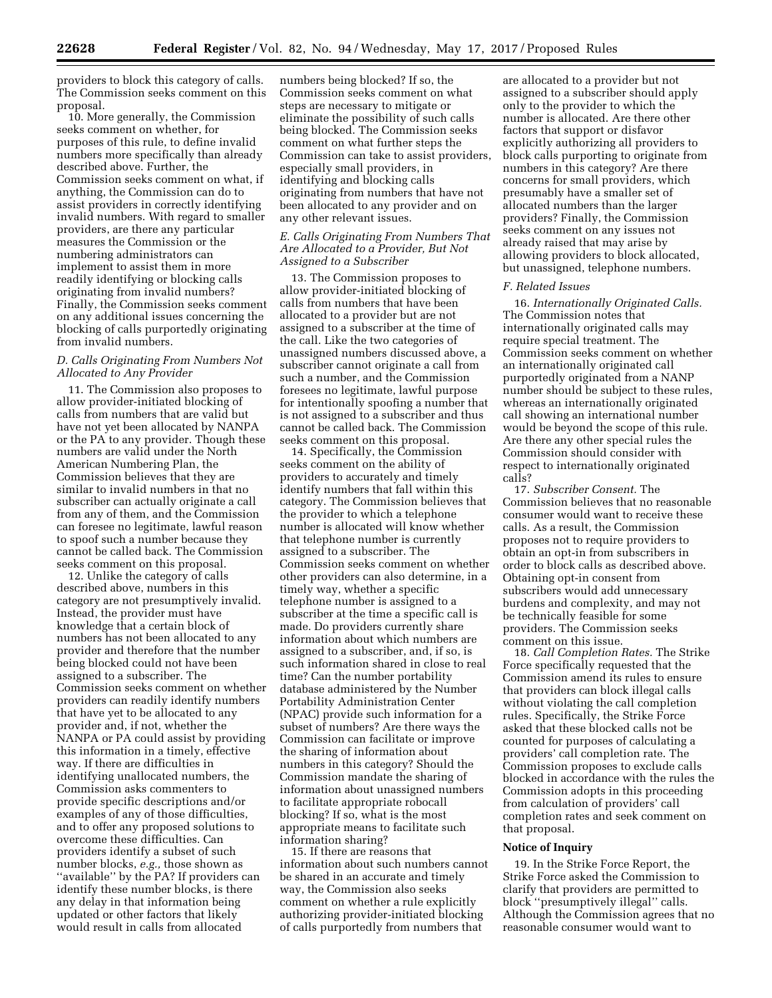providers to block this category of calls. The Commission seeks comment on this proposal.

10. More generally, the Commission seeks comment on whether, for purposes of this rule, to define invalid numbers more specifically than already described above. Further, the Commission seeks comment on what, if anything, the Commission can do to assist providers in correctly identifying invalid numbers. With regard to smaller providers, are there any particular measures the Commission or the numbering administrators can implement to assist them in more readily identifying or blocking calls originating from invalid numbers? Finally, the Commission seeks comment on any additional issues concerning the blocking of calls purportedly originating from invalid numbers.

### *D. Calls Originating From Numbers Not Allocated to Any Provider*

11. The Commission also proposes to allow provider-initiated blocking of calls from numbers that are valid but have not yet been allocated by NANPA or the PA to any provider. Though these numbers are valid under the North American Numbering Plan, the Commission believes that they are similar to invalid numbers in that no subscriber can actually originate a call from any of them, and the Commission can foresee no legitimate, lawful reason to spoof such a number because they cannot be called back. The Commission seeks comment on this proposal.

12. Unlike the category of calls described above, numbers in this category are not presumptively invalid. Instead, the provider must have knowledge that a certain block of numbers has not been allocated to any provider and therefore that the number being blocked could not have been assigned to a subscriber. The Commission seeks comment on whether providers can readily identify numbers that have yet to be allocated to any provider and, if not, whether the NANPA or PA could assist by providing this information in a timely, effective way. If there are difficulties in identifying unallocated numbers, the Commission asks commenters to provide specific descriptions and/or examples of any of those difficulties, and to offer any proposed solutions to overcome these difficulties. Can providers identify a subset of such number blocks, *e.g.,* those shown as "available" by the PA? If providers can identify these number blocks, is there any delay in that information being updated or other factors that likely would result in calls from allocated

numbers being blocked? If so, the Commission seeks comment on what steps are necessary to mitigate or eliminate the possibility of such calls being blocked. The Commission seeks comment on what further steps the Commission can take to assist providers, especially small providers, in identifying and blocking calls originating from numbers that have not been allocated to any provider and on any other relevant issues.

### *E. Calls Originating From Numbers That Are Allocated to a Provider, But Not Assigned to a Subscriber*

13. The Commission proposes to allow provider-initiated blocking of calls from numbers that have been allocated to a provider but are not assigned to a subscriber at the time of the call. Like the two categories of unassigned numbers discussed above, a subscriber cannot originate a call from such a number, and the Commission foresees no legitimate, lawful purpose for intentionally spoofing a number that is not assigned to a subscriber and thus cannot be called back. The Commission seeks comment on this proposal.

14. Specifically, the Commission seeks comment on the ability of providers to accurately and timely identify numbers that fall within this category. The Commission believes that the provider to which a telephone number is allocated will know whether that telephone number is currently assigned to a subscriber. The Commission seeks comment on whether other providers can also determine, in a timely way, whether a specific telephone number is assigned to a subscriber at the time a specific call is made. Do providers currently share information about which numbers are assigned to a subscriber, and, if so, is such information shared in close to real time? Can the number portability database administered by the Number Portability Administration Center (NPAC) provide such information for a subset of numbers? Are there ways the Commission can facilitate or improve the sharing of information about numbers in this category? Should the Commission mandate the sharing of information about unassigned numbers to facilitate appropriate robocall blocking? If so, what is the most appropriate means to facilitate such information sharing?

15. If there are reasons that information about such numbers cannot be shared in an accurate and timely way, the Commission also seeks comment on whether a rule explicitly authorizing provider-initiated blocking of calls purportedly from numbers that

are allocated to a provider but not assigned to a subscriber should apply only to the provider to which the number is allocated. Are there other factors that support or disfavor explicitly authorizing all providers to block calls purporting to originate from numbers in this category? Are there concerns for small providers, which presumably have a smaller set of allocated numbers than the larger providers? Finally, the Commission seeks comment on any issues not already raised that may arise by allowing providers to block allocated, but unassigned, telephone numbers.

#### *F. Related Issues*

16. *Internationally Originated Calls.*  The Commission notes that internationally originated calls may require special treatment. The Commission seeks comment on whether an internationally originated call purportedly originated from a NANP number should be subject to these rules, whereas an internationally originated call showing an international number would be beyond the scope of this rule. Are there any other special rules the Commission should consider with respect to internationally originated calls?

17. *Subscriber Consent.* The Commission believes that no reasonable consumer would want to receive these calls. As a result, the Commission proposes not to require providers to obtain an opt-in from subscribers in order to block calls as described above. Obtaining opt-in consent from subscribers would add unnecessary burdens and complexity, and may not be technically feasible for some providers. The Commission seeks comment on this issue.

18. *Call Completion Rates.* The Strike Force specifically requested that the Commission amend its rules to ensure that providers can block illegal calls without violating the call completion rules. Specifically, the Strike Force asked that these blocked calls not be counted for purposes of calculating a providers' call completion rate. The Commission proposes to exclude calls blocked in accordance with the rules the Commission adopts in this proceeding from calculation of providers' call completion rates and seek comment on that proposal.

### **Notice of Inquiry**

19. In the Strike Force Report, the Strike Force asked the Commission to clarify that providers are permitted to block ''presumptively illegal'' calls. Although the Commission agrees that no reasonable consumer would want to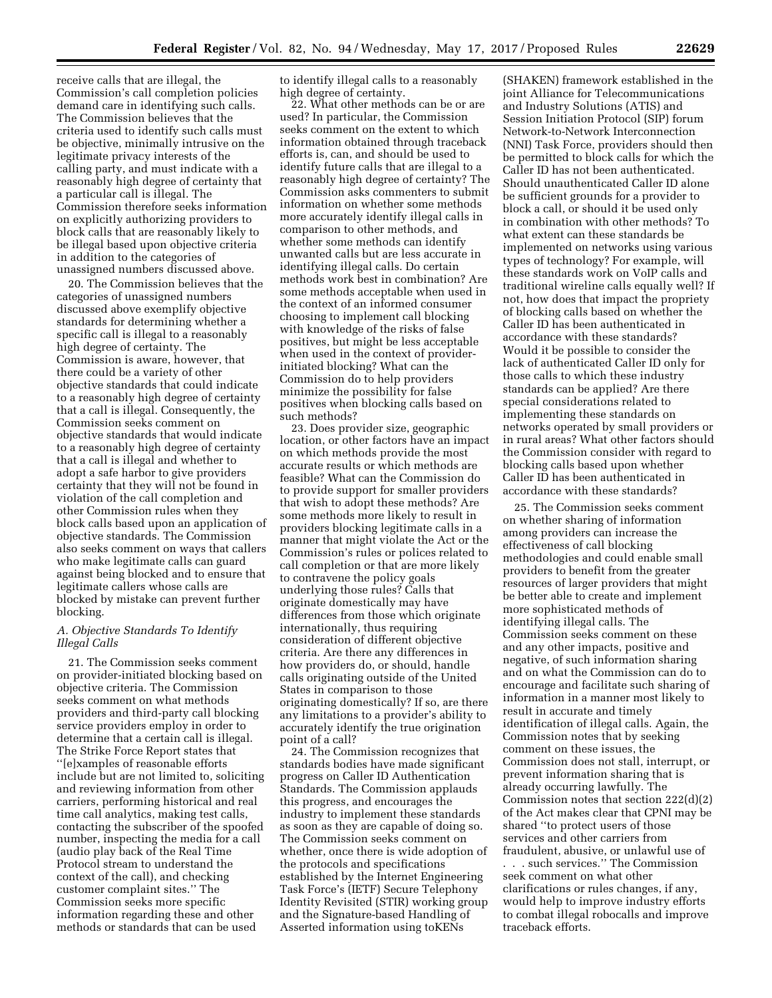receive calls that are illegal, the Commission's call completion policies demand care in identifying such calls. The Commission believes that the criteria used to identify such calls must be objective, minimally intrusive on the legitimate privacy interests of the calling party, and must indicate with a reasonably high degree of certainty that a particular call is illegal. The Commission therefore seeks information on explicitly authorizing providers to block calls that are reasonably likely to be illegal based upon objective criteria in addition to the categories of unassigned numbers discussed above.

20. The Commission believes that the categories of unassigned numbers discussed above exemplify objective standards for determining whether a specific call is illegal to a reasonably high degree of certainty. The Commission is aware, however, that there could be a variety of other objective standards that could indicate to a reasonably high degree of certainty that a call is illegal. Consequently, the Commission seeks comment on objective standards that would indicate to a reasonably high degree of certainty that a call is illegal and whether to adopt a safe harbor to give providers certainty that they will not be found in violation of the call completion and other Commission rules when they block calls based upon an application of objective standards. The Commission also seeks comment on ways that callers who make legitimate calls can guard against being blocked and to ensure that legitimate callers whose calls are blocked by mistake can prevent further blocking.

### *A. Objective Standards To Identify Illegal Calls*

21. The Commission seeks comment on provider-initiated blocking based on objective criteria. The Commission seeks comment on what methods providers and third-party call blocking service providers employ in order to determine that a certain call is illegal. The Strike Force Report states that ''[e]xamples of reasonable efforts include but are not limited to, soliciting and reviewing information from other carriers, performing historical and real time call analytics, making test calls, contacting the subscriber of the spoofed number, inspecting the media for a call (audio play back of the Real Time Protocol stream to understand the context of the call), and checking customer complaint sites.'' The Commission seeks more specific information regarding these and other methods or standards that can be used

to identify illegal calls to a reasonably high degree of certainty.

22. What other methods can be or are used? In particular, the Commission seeks comment on the extent to which information obtained through traceback efforts is, can, and should be used to identify future calls that are illegal to a reasonably high degree of certainty? The Commission asks commenters to submit information on whether some methods more accurately identify illegal calls in comparison to other methods, and whether some methods can identify unwanted calls but are less accurate in identifying illegal calls. Do certain methods work best in combination? Are some methods acceptable when used in the context of an informed consumer choosing to implement call blocking with knowledge of the risks of false positives, but might be less acceptable when used in the context of providerinitiated blocking? What can the Commission do to help providers minimize the possibility for false positives when blocking calls based on such methods?

23. Does provider size, geographic location, or other factors have an impact on which methods provide the most accurate results or which methods are feasible? What can the Commission do to provide support for smaller providers that wish to adopt these methods? Are some methods more likely to result in providers blocking legitimate calls in a manner that might violate the Act or the Commission's rules or polices related to call completion or that are more likely to contravene the policy goals underlying those rules? Calls that originate domestically may have differences from those which originate internationally, thus requiring consideration of different objective criteria. Are there any differences in how providers do, or should, handle calls originating outside of the United States in comparison to those originating domestically? If so, are there any limitations to a provider's ability to accurately identify the true origination point of a call?

24. The Commission recognizes that standards bodies have made significant progress on Caller ID Authentication Standards. The Commission applauds this progress, and encourages the industry to implement these standards as soon as they are capable of doing so. The Commission seeks comment on whether, once there is wide adoption of the protocols and specifications established by the Internet Engineering Task Force's (IETF) Secure Telephony Identity Revisited (STIR) working group and the Signature-based Handling of Asserted information using toKENs

(SHAKEN) framework established in the joint Alliance for Telecommunications and Industry Solutions (ATIS) and Session Initiation Protocol (SIP) forum Network-to-Network Interconnection (NNI) Task Force, providers should then be permitted to block calls for which the Caller ID has not been authenticated. Should unauthenticated Caller ID alone be sufficient grounds for a provider to block a call, or should it be used only in combination with other methods? To what extent can these standards be implemented on networks using various types of technology? For example, will these standards work on VoIP calls and traditional wireline calls equally well? If not, how does that impact the propriety of blocking calls based on whether the Caller ID has been authenticated in accordance with these standards? Would it be possible to consider the lack of authenticated Caller ID only for those calls to which these industry standards can be applied? Are there special considerations related to implementing these standards on networks operated by small providers or in rural areas? What other factors should the Commission consider with regard to blocking calls based upon whether Caller ID has been authenticated in accordance with these standards?

25. The Commission seeks comment on whether sharing of information among providers can increase the effectiveness of call blocking methodologies and could enable small providers to benefit from the greater resources of larger providers that might be better able to create and implement more sophisticated methods of identifying illegal calls. The Commission seeks comment on these and any other impacts, positive and negative, of such information sharing and on what the Commission can do to encourage and facilitate such sharing of information in a manner most likely to result in accurate and timely identification of illegal calls. Again, the Commission notes that by seeking comment on these issues, the Commission does not stall, interrupt, or prevent information sharing that is already occurring lawfully. The Commission notes that section 222(d)(2) of the Act makes clear that CPNI may be shared ''to protect users of those services and other carriers from fraudulent, abusive, or unlawful use of . . . such services.'' The Commission seek comment on what other clarifications or rules changes, if any, would help to improve industry efforts to combat illegal robocalls and improve traceback efforts.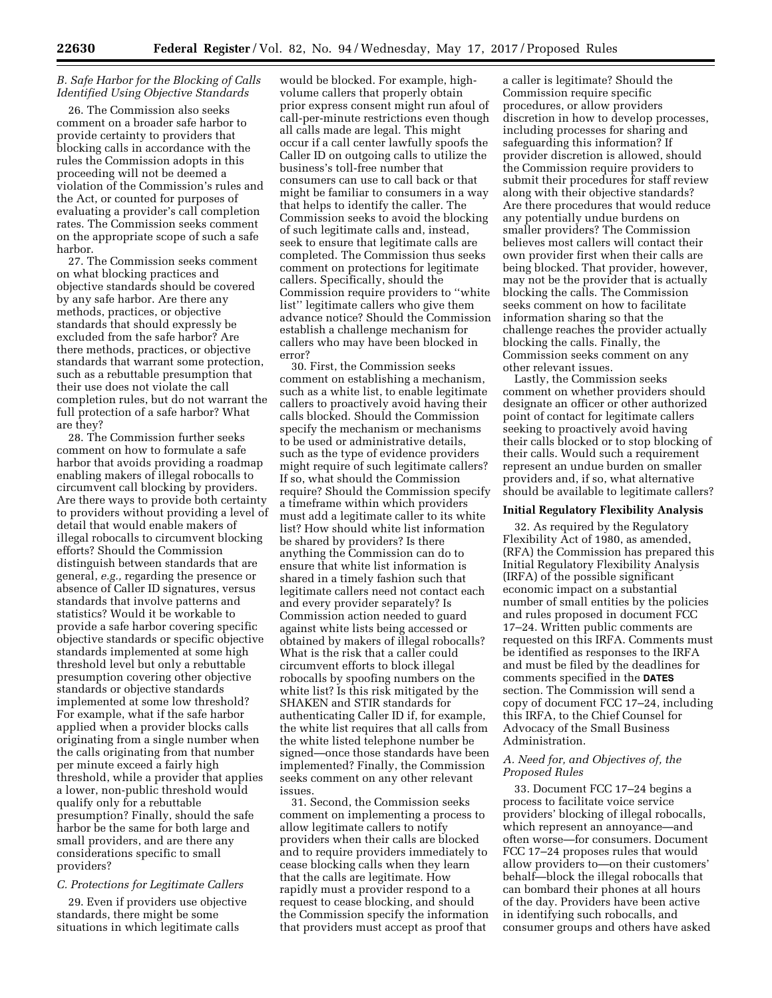### *B. Safe Harbor for the Blocking of Calls Identified Using Objective Standards*

26. The Commission also seeks comment on a broader safe harbor to provide certainty to providers that blocking calls in accordance with the rules the Commission adopts in this proceeding will not be deemed a violation of the Commission's rules and the Act, or counted for purposes of evaluating a provider's call completion rates. The Commission seeks comment on the appropriate scope of such a safe harbor.

27. The Commission seeks comment on what blocking practices and objective standards should be covered by any safe harbor. Are there any methods, practices, or objective standards that should expressly be excluded from the safe harbor? Are there methods, practices, or objective standards that warrant some protection, such as a rebuttable presumption that their use does not violate the call completion rules, but do not warrant the full protection of a safe harbor? What are they?

28. The Commission further seeks comment on how to formulate a safe harbor that avoids providing a roadmap enabling makers of illegal robocalls to circumvent call blocking by providers. Are there ways to provide both certainty to providers without providing a level of detail that would enable makers of illegal robocalls to circumvent blocking efforts? Should the Commission distinguish between standards that are general, *e.g.,* regarding the presence or absence of Caller ID signatures, versus standards that involve patterns and statistics? Would it be workable to provide a safe harbor covering specific objective standards or specific objective standards implemented at some high threshold level but only a rebuttable presumption covering other objective standards or objective standards implemented at some low threshold? For example, what if the safe harbor applied when a provider blocks calls originating from a single number when the calls originating from that number per minute exceed a fairly high threshold, while a provider that applies a lower, non-public threshold would qualify only for a rebuttable presumption? Finally, should the safe harbor be the same for both large and small providers, and are there any considerations specific to small providers?

# *C. Protections for Legitimate Callers*

29. Even if providers use objective standards, there might be some situations in which legitimate calls

would be blocked. For example, highvolume callers that properly obtain prior express consent might run afoul of call-per-minute restrictions even though all calls made are legal. This might occur if a call center lawfully spoofs the Caller ID on outgoing calls to utilize the business's toll-free number that consumers can use to call back or that might be familiar to consumers in a way that helps to identify the caller. The Commission seeks to avoid the blocking of such legitimate calls and, instead, seek to ensure that legitimate calls are completed. The Commission thus seeks comment on protections for legitimate callers. Specifically, should the Commission require providers to ''white list'' legitimate callers who give them advance notice? Should the Commission establish a challenge mechanism for callers who may have been blocked in error?

30. First, the Commission seeks comment on establishing a mechanism, such as a white list, to enable legitimate callers to proactively avoid having their calls blocked. Should the Commission specify the mechanism or mechanisms to be used or administrative details, such as the type of evidence providers might require of such legitimate callers? If so, what should the Commission require? Should the Commission specify a timeframe within which providers must add a legitimate caller to its white list? How should white list information be shared by providers? Is there anything the Commission can do to ensure that white list information is shared in a timely fashion such that legitimate callers need not contact each and every provider separately? Is Commission action needed to guard against white lists being accessed or obtained by makers of illegal robocalls? What is the risk that a caller could circumvent efforts to block illegal robocalls by spoofing numbers on the white list? Is this risk mitigated by the SHAKEN and STIR standards for authenticating Caller ID if, for example, the white list requires that all calls from the white listed telephone number be signed—once those standards have been implemented? Finally, the Commission seeks comment on any other relevant issues.

31. Second, the Commission seeks comment on implementing a process to allow legitimate callers to notify providers when their calls are blocked and to require providers immediately to cease blocking calls when they learn that the calls are legitimate. How rapidly must a provider respond to a request to cease blocking, and should the Commission specify the information that providers must accept as proof that

a caller is legitimate? Should the Commission require specific procedures, or allow providers discretion in how to develop processes, including processes for sharing and safeguarding this information? If provider discretion is allowed, should the Commission require providers to submit their procedures for staff review along with their objective standards? Are there procedures that would reduce any potentially undue burdens on smaller providers? The Commission believes most callers will contact their own provider first when their calls are being blocked. That provider, however, may not be the provider that is actually blocking the calls. The Commission seeks comment on how to facilitate information sharing so that the challenge reaches the provider actually blocking the calls. Finally, the Commission seeks comment on any other relevant issues.

Lastly, the Commission seeks comment on whether providers should designate an officer or other authorized point of contact for legitimate callers seeking to proactively avoid having their calls blocked or to stop blocking of their calls. Would such a requirement represent an undue burden on smaller providers and, if so, what alternative should be available to legitimate callers?

#### **Initial Regulatory Flexibility Analysis**

32. As required by the Regulatory Flexibility Act of 1980, as amended, (RFA) the Commission has prepared this Initial Regulatory Flexibility Analysis (IRFA) of the possible significant economic impact on a substantial number of small entities by the policies and rules proposed in document FCC 17–24. Written public comments are requested on this IRFA. Comments must be identified as responses to the IRFA and must be filed by the deadlines for comments specified in the **DATES** section. The Commission will send a copy of document FCC 17–24, including this IRFA, to the Chief Counsel for Advocacy of the Small Business Administration.

### *A. Need for, and Objectives of, the Proposed Rules*

33. Document FCC 17–24 begins a process to facilitate voice service providers' blocking of illegal robocalls, which represent an annoyance—and often worse—for consumers. Document FCC 17–24 proposes rules that would allow providers to—on their customers' behalf—block the illegal robocalls that can bombard their phones at all hours of the day. Providers have been active in identifying such robocalls, and consumer groups and others have asked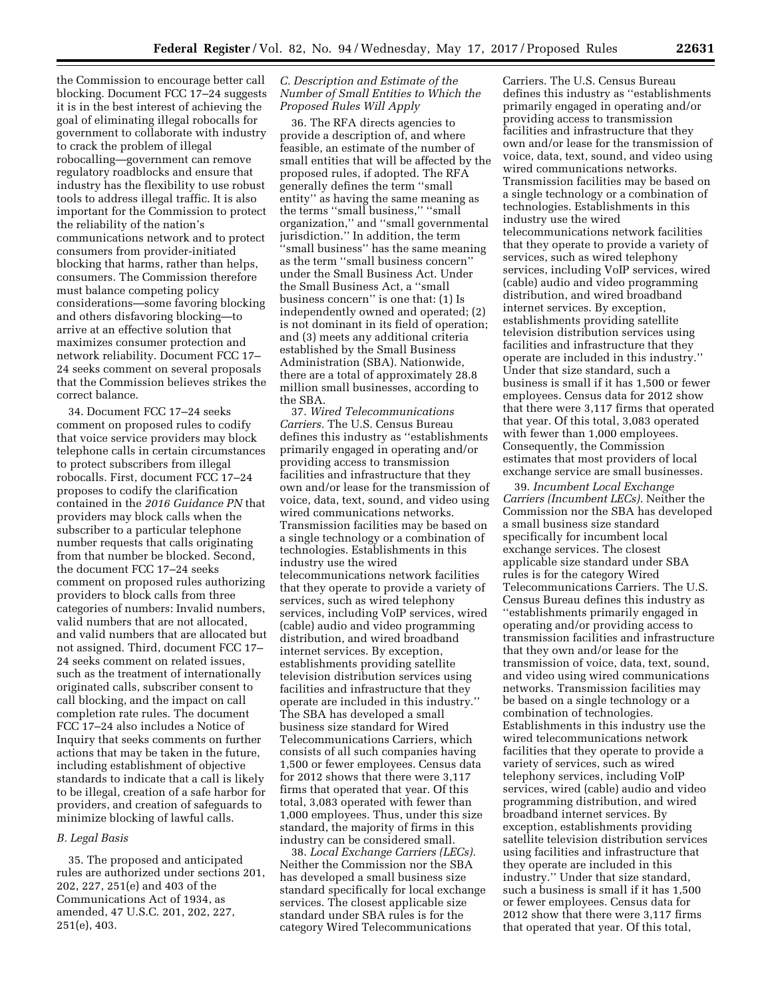the Commission to encourage better call blocking. Document FCC 17–24 suggests it is in the best interest of achieving the goal of eliminating illegal robocalls for government to collaborate with industry to crack the problem of illegal robocalling—government can remove regulatory roadblocks and ensure that industry has the flexibility to use robust tools to address illegal traffic. It is also important for the Commission to protect the reliability of the nation's communications network and to protect consumers from provider-initiated blocking that harms, rather than helps, consumers. The Commission therefore must balance competing policy considerations—some favoring blocking and others disfavoring blocking—to arrive at an effective solution that maximizes consumer protection and network reliability. Document FCC 17– 24 seeks comment on several proposals that the Commission believes strikes the correct balance.

34. Document FCC 17–24 seeks comment on proposed rules to codify that voice service providers may block telephone calls in certain circumstances to protect subscribers from illegal robocalls. First, document FCC 17–24 proposes to codify the clarification contained in the *2016 Guidance PN* that providers may block calls when the subscriber to a particular telephone number requests that calls originating from that number be blocked. Second, the document FCC 17–24 seeks comment on proposed rules authorizing providers to block calls from three categories of numbers: Invalid numbers, valid numbers that are not allocated, and valid numbers that are allocated but not assigned. Third, document FCC 17– 24 seeks comment on related issues, such as the treatment of internationally originated calls, subscriber consent to call blocking, and the impact on call completion rate rules. The document FCC 17–24 also includes a Notice of Inquiry that seeks comments on further actions that may be taken in the future, including establishment of objective standards to indicate that a call is likely to be illegal, creation of a safe harbor for providers, and creation of safeguards to minimize blocking of lawful calls.

#### *B. Legal Basis*

35. The proposed and anticipated rules are authorized under sections 201, 202, 227, 251(e) and 403 of the Communications Act of 1934, as amended, 47 U.S.C. 201, 202, 227, 251(e), 403.

### *C. Description and Estimate of the Number of Small Entities to Which the Proposed Rules Will Apply*

36. The RFA directs agencies to provide a description of, and where feasible, an estimate of the number of small entities that will be affected by the proposed rules, if adopted. The RFA generally defines the term ''small entity'' as having the same meaning as the terms ''small business,'' ''small organization,'' and ''small governmental jurisdiction.'' In addition, the term ''small business'' has the same meaning as the term ''small business concern'' under the Small Business Act. Under the Small Business Act, a ''small business concern'' is one that: (1) Is independently owned and operated; (2) is not dominant in its field of operation; and (3) meets any additional criteria established by the Small Business Administration (SBA). Nationwide, there are a total of approximately 28.8 million small businesses, according to the SBA.

37. *Wired Telecommunications Carriers.* The U.S. Census Bureau defines this industry as ''establishments primarily engaged in operating and/or providing access to transmission facilities and infrastructure that they own and/or lease for the transmission of voice, data, text, sound, and video using wired communications networks. Transmission facilities may be based on a single technology or a combination of technologies. Establishments in this industry use the wired telecommunications network facilities that they operate to provide a variety of services, such as wired telephony services, including VoIP services, wired (cable) audio and video programming distribution, and wired broadband internet services. By exception, establishments providing satellite television distribution services using facilities and infrastructure that they operate are included in this industry.'' The SBA has developed a small business size standard for Wired Telecommunications Carriers, which consists of all such companies having 1,500 or fewer employees. Census data for 2012 shows that there were 3,117 firms that operated that year. Of this total, 3,083 operated with fewer than 1,000 employees. Thus, under this size standard, the majority of firms in this industry can be considered small.

38. *Local Exchange Carriers (LECs).*  Neither the Commission nor the SBA has developed a small business size standard specifically for local exchange services. The closest applicable size standard under SBA rules is for the category Wired Telecommunications

Carriers. The U.S. Census Bureau defines this industry as ''establishments primarily engaged in operating and/or providing access to transmission facilities and infrastructure that they own and/or lease for the transmission of voice, data, text, sound, and video using wired communications networks. Transmission facilities may be based on a single technology or a combination of technologies. Establishments in this industry use the wired telecommunications network facilities that they operate to provide a variety of services, such as wired telephony services, including VoIP services, wired (cable) audio and video programming distribution, and wired broadband internet services. By exception, establishments providing satellite television distribution services using facilities and infrastructure that they operate are included in this industry.'' Under that size standard, such a business is small if it has 1,500 or fewer employees. Census data for 2012 show that there were 3,117 firms that operated that year. Of this total, 3,083 operated with fewer than 1,000 employees. Consequently, the Commission estimates that most providers of local exchange service are small businesses.

39. *Incumbent Local Exchange Carriers (Incumbent LECs).* Neither the Commission nor the SBA has developed a small business size standard specifically for incumbent local exchange services. The closest applicable size standard under SBA rules is for the category Wired Telecommunications Carriers. The U.S. Census Bureau defines this industry as ''establishments primarily engaged in operating and/or providing access to transmission facilities and infrastructure that they own and/or lease for the transmission of voice, data, text, sound, and video using wired communications networks. Transmission facilities may be based on a single technology or a combination of technologies. Establishments in this industry use the wired telecommunications network facilities that they operate to provide a variety of services, such as wired telephony services, including VoIP services, wired (cable) audio and video programming distribution, and wired broadband internet services. By exception, establishments providing satellite television distribution services using facilities and infrastructure that they operate are included in this industry.'' Under that size standard, such a business is small if it has 1,500 or fewer employees. Census data for 2012 show that there were 3,117 firms that operated that year. Of this total,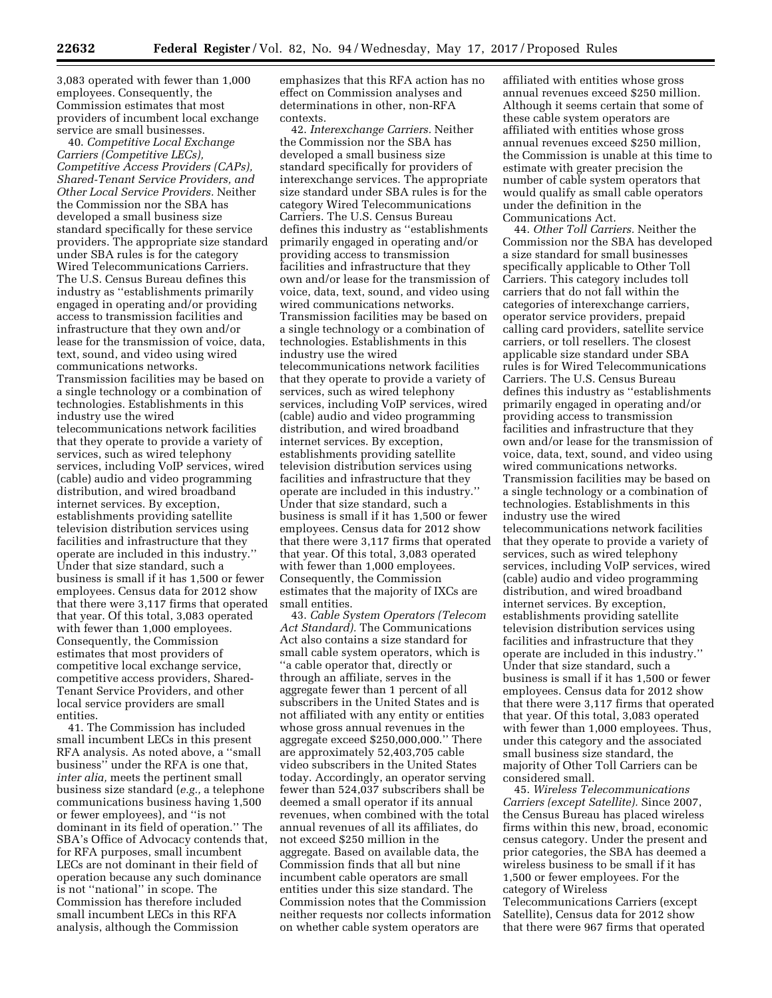3,083 operated with fewer than 1,000 employees. Consequently, the Commission estimates that most providers of incumbent local exchange service are small businesses.

40. *Competitive Local Exchange Carriers (Competitive LECs), Competitive Access Providers (CAPs), Shared-Tenant Service Providers, and Other Local Service Providers.* Neither the Commission nor the SBA has developed a small business size standard specifically for these service providers. The appropriate size standard under SBA rules is for the category Wired Telecommunications Carriers. The U.S. Census Bureau defines this industry as ''establishments primarily engaged in operating and/or providing access to transmission facilities and infrastructure that they own and/or lease for the transmission of voice, data, text, sound, and video using wired communications networks. Transmission facilities may be based on a single technology or a combination of technologies. Establishments in this industry use the wired telecommunications network facilities that they operate to provide a variety of services, such as wired telephony services, including VoIP services, wired (cable) audio and video programming distribution, and wired broadband internet services. By exception, establishments providing satellite television distribution services using facilities and infrastructure that they operate are included in this industry.'' Under that size standard, such a business is small if it has 1,500 or fewer employees. Census data for 2012 show that there were 3,117 firms that operated that year. Of this total, 3,083 operated with fewer than 1,000 employees. Consequently, the Commission estimates that most providers of competitive local exchange service, competitive access providers, Shared-Tenant Service Providers, and other local service providers are small entities.

41. The Commission has included small incumbent LECs in this present RFA analysis. As noted above, a ''small business'' under the RFA is one that, *inter alia,* meets the pertinent small business size standard (*e.g.,* a telephone communications business having 1,500 or fewer employees), and ''is not dominant in its field of operation.'' The SBA's Office of Advocacy contends that, for RFA purposes, small incumbent LECs are not dominant in their field of operation because any such dominance is not ''national'' in scope. The Commission has therefore included small incumbent LECs in this RFA analysis, although the Commission

emphasizes that this RFA action has no effect on Commission analyses and determinations in other, non-RFA contexts.

42. *Interexchange Carriers.* Neither the Commission nor the SBA has developed a small business size standard specifically for providers of interexchange services. The appropriate size standard under SBA rules is for the category Wired Telecommunications Carriers. The U.S. Census Bureau defines this industry as ''establishments primarily engaged in operating and/or providing access to transmission facilities and infrastructure that they own and/or lease for the transmission of voice, data, text, sound, and video using wired communications networks. Transmission facilities may be based on a single technology or a combination of technologies. Establishments in this industry use the wired telecommunications network facilities that they operate to provide a variety of services, such as wired telephony services, including VoIP services, wired (cable) audio and video programming distribution, and wired broadband internet services. By exception, establishments providing satellite television distribution services using facilities and infrastructure that they operate are included in this industry.'' Under that size standard, such a business is small if it has 1,500 or fewer employees. Census data for 2012 show that there were 3,117 firms that operated that year. Of this total, 3,083 operated with fewer than 1,000 employees. Consequently, the Commission estimates that the majority of IXCs are small entities.

43. *Cable System Operators (Telecom Act Standard).* The Communications Act also contains a size standard for small cable system operators, which is ''a cable operator that, directly or through an affiliate, serves in the aggregate fewer than 1 percent of all subscribers in the United States and is not affiliated with any entity or entities whose gross annual revenues in the aggregate exceed \$250,000,000.'' There are approximately 52,403,705 cable video subscribers in the United States today. Accordingly, an operator serving fewer than 524,037 subscribers shall be deemed a small operator if its annual revenues, when combined with the total annual revenues of all its affiliates, do not exceed \$250 million in the aggregate. Based on available data, the Commission finds that all but nine incumbent cable operators are small entities under this size standard. The Commission notes that the Commission neither requests nor collects information on whether cable system operators are

affiliated with entities whose gross annual revenues exceed \$250 million. Although it seems certain that some of these cable system operators are affiliated with entities whose gross annual revenues exceed \$250 million, the Commission is unable at this time to estimate with greater precision the number of cable system operators that would qualify as small cable operators under the definition in the Communications Act.

44. *Other Toll Carriers.* Neither the Commission nor the SBA has developed a size standard for small businesses specifically applicable to Other Toll Carriers. This category includes toll carriers that do not fall within the categories of interexchange carriers, operator service providers, prepaid calling card providers, satellite service carriers, or toll resellers. The closest applicable size standard under SBA rules is for Wired Telecommunications Carriers. The U.S. Census Bureau defines this industry as ''establishments primarily engaged in operating and/or providing access to transmission facilities and infrastructure that they own and/or lease for the transmission of voice, data, text, sound, and video using wired communications networks. Transmission facilities may be based on a single technology or a combination of technologies. Establishments in this industry use the wired telecommunications network facilities that they operate to provide a variety of services, such as wired telephony services, including VoIP services, wired (cable) audio and video programming distribution, and wired broadband internet services. By exception, establishments providing satellite television distribution services using facilities and infrastructure that they operate are included in this industry.'' Under that size standard, such a business is small if it has 1,500 or fewer employees. Census data for 2012 show that there were 3,117 firms that operated that year. Of this total, 3,083 operated with fewer than 1,000 employees. Thus, under this category and the associated small business size standard, the majority of Other Toll Carriers can be considered small.

45. *Wireless Telecommunications Carriers (except Satellite).* Since 2007, the Census Bureau has placed wireless firms within this new, broad, economic census category. Under the present and prior categories, the SBA has deemed a wireless business to be small if it has 1,500 or fewer employees. For the category of Wireless Telecommunications Carriers (except Satellite), Census data for 2012 show that there were 967 firms that operated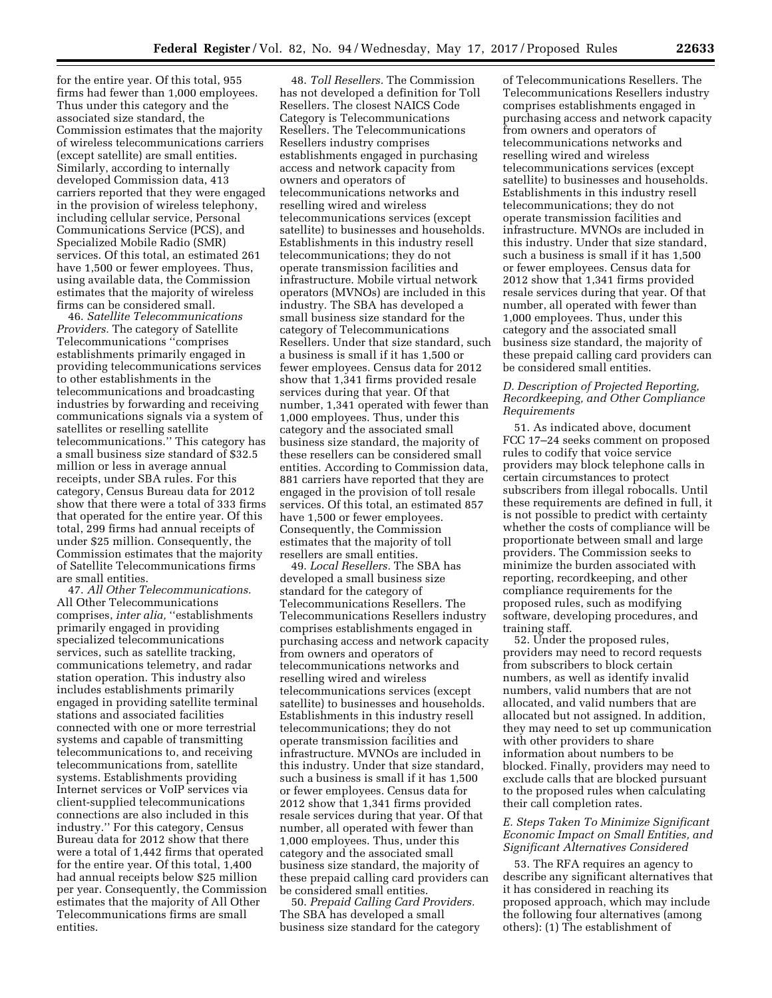for the entire year. Of this total, 955 firms had fewer than 1,000 employees. Thus under this category and the associated size standard, the Commission estimates that the majority of wireless telecommunications carriers (except satellite) are small entities. Similarly, according to internally developed Commission data, 413 carriers reported that they were engaged in the provision of wireless telephony, including cellular service, Personal Communications Service (PCS), and Specialized Mobile Radio (SMR) services. Of this total, an estimated 261 have 1,500 or fewer employees. Thus, using available data, the Commission estimates that the majority of wireless firms can be considered small.

46. *Satellite Telecommunications Providers.* The category of Satellite Telecommunications ''comprises establishments primarily engaged in providing telecommunications services to other establishments in the telecommunications and broadcasting industries by forwarding and receiving communications signals via a system of satellites or reselling satellite telecommunications.'' This category has a small business size standard of \$32.5 million or less in average annual receipts, under SBA rules. For this category, Census Bureau data for 2012 show that there were a total of 333 firms that operated for the entire year. Of this total, 299 firms had annual receipts of under \$25 million. Consequently, the Commission estimates that the majority of Satellite Telecommunications firms are small entities.

47. *All Other Telecommunications.*  All Other Telecommunications comprises, *inter alia*, "establishments primarily engaged in providing specialized telecommunications services, such as satellite tracking, communications telemetry, and radar station operation. This industry also includes establishments primarily engaged in providing satellite terminal stations and associated facilities connected with one or more terrestrial systems and capable of transmitting telecommunications to, and receiving telecommunications from, satellite systems. Establishments providing Internet services or VoIP services via client-supplied telecommunications connections are also included in this industry.'' For this category, Census Bureau data for 2012 show that there were a total of 1,442 firms that operated for the entire year. Of this total, 1,400 had annual receipts below \$25 million per year. Consequently, the Commission estimates that the majority of All Other Telecommunications firms are small entities.

48. *Toll Resellers.* The Commission has not developed a definition for Toll Resellers. The closest NAICS Code Category is Telecommunications Resellers. The Telecommunications Resellers industry comprises establishments engaged in purchasing access and network capacity from owners and operators of telecommunications networks and reselling wired and wireless telecommunications services (except satellite) to businesses and households. Establishments in this industry resell telecommunications; they do not operate transmission facilities and infrastructure. Mobile virtual network operators (MVNOs) are included in this industry. The SBA has developed a small business size standard for the category of Telecommunications Resellers. Under that size standard, such a business is small if it has 1,500 or fewer employees. Census data for 2012 show that 1,341 firms provided resale services during that year. Of that number, 1,341 operated with fewer than 1,000 employees. Thus, under this category and the associated small business size standard, the majority of these resellers can be considered small entities. According to Commission data, 881 carriers have reported that they are engaged in the provision of toll resale services. Of this total, an estimated 857 have 1,500 or fewer employees. Consequently, the Commission estimates that the majority of toll resellers are small entities.

49. *Local Resellers.* The SBA has developed a small business size standard for the category of Telecommunications Resellers. The Telecommunications Resellers industry comprises establishments engaged in purchasing access and network capacity from owners and operators of telecommunications networks and reselling wired and wireless telecommunications services (except satellite) to businesses and households. Establishments in this industry resell telecommunications; they do not operate transmission facilities and infrastructure. MVNOs are included in this industry. Under that size standard, such a business is small if it has 1,500 or fewer employees. Census data for 2012 show that 1,341 firms provided resale services during that year. Of that number, all operated with fewer than 1,000 employees. Thus, under this category and the associated small business size standard, the majority of these prepaid calling card providers can be considered small entities.

50. *Prepaid Calling Card Providers.*  The SBA has developed a small business size standard for the category

of Telecommunications Resellers. The Telecommunications Resellers industry comprises establishments engaged in purchasing access and network capacity from owners and operators of telecommunications networks and reselling wired and wireless telecommunications services (except satellite) to businesses and households. Establishments in this industry resell telecommunications; they do not operate transmission facilities and infrastructure. MVNOs are included in this industry. Under that size standard, such a business is small if it has 1,500 or fewer employees. Census data for 2012 show that 1,341 firms provided resale services during that year. Of that number, all operated with fewer than 1,000 employees. Thus, under this category and the associated small business size standard, the majority of these prepaid calling card providers can be considered small entities.

#### *D. Description of Projected Reporting, Recordkeeping, and Other Compliance Requirements*

51. As indicated above, document FCC 17–24 seeks comment on proposed rules to codify that voice service providers may block telephone calls in certain circumstances to protect subscribers from illegal robocalls. Until these requirements are defined in full, it is not possible to predict with certainty whether the costs of compliance will be proportionate between small and large providers. The Commission seeks to minimize the burden associated with reporting, recordkeeping, and other compliance requirements for the proposed rules, such as modifying software, developing procedures, and training staff.

52. Under the proposed rules, providers may need to record requests from subscribers to block certain numbers, as well as identify invalid numbers, valid numbers that are not allocated, and valid numbers that are allocated but not assigned. In addition, they may need to set up communication with other providers to share information about numbers to be blocked. Finally, providers may need to exclude calls that are blocked pursuant to the proposed rules when calculating their call completion rates.

### *E. Steps Taken To Minimize Significant Economic Impact on Small Entities, and Significant Alternatives Considered*

53. The RFA requires an agency to describe any significant alternatives that it has considered in reaching its proposed approach, which may include the following four alternatives (among others): (1) The establishment of